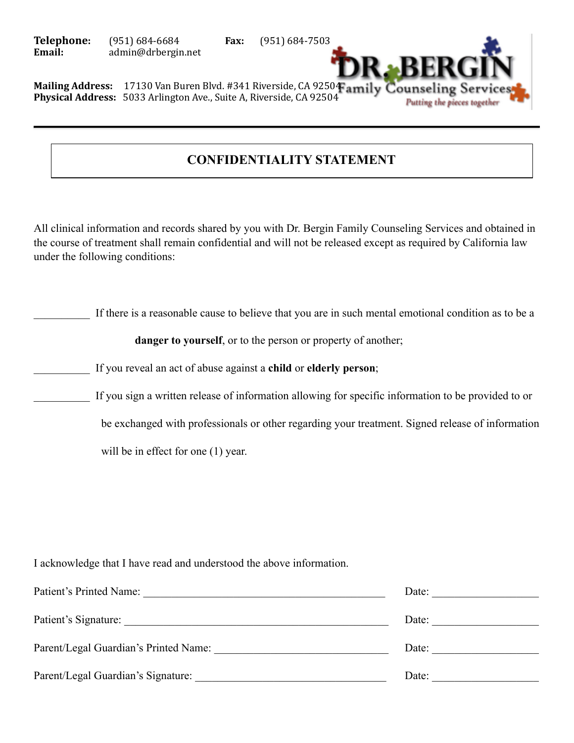**Telephone:** (951) 684-6684 **Fax:** (951) 684-7503<br>**Email:** admin@drbergin.net admin@drbergin.net



Mailing Address: 17130 Van Buren Blvd. #341 Riverside, CA 92504 amily Counseling Ser **Physical Address:** 5033 Arlington Ave., Suite A, Riverside, CA 92504

## **CONFIDENTIALITY STATEMENT**

All clinical information and records shared by you with Dr. Bergin Family Counseling Services and obtained in the course of treatment shall remain confidential and will not be released except as required by California law under the following conditions:

If there is a reasonable cause to believe that you are in such mental emotional condition as to be a

danger to yourself, or to the person or property of another;

\_\_\_\_\_\_\_\_\_\_ If you reveal an act of abuse against a **child** or **elderly person**;

If you sign a written release of information allowing for specific information to be provided to or

be exchanged with professionals or other regarding your treatment. Signed release of information

will be in effect for one  $(1)$  year.

I acknowledge that I have read and understood the above information.

| Patient's Printed Name:               | Date: |
|---------------------------------------|-------|
| Patient's Signature:                  | Date: |
| Parent/Legal Guardian's Printed Name: | Date: |
| Parent/Legal Guardian's Signature:    | Date: |